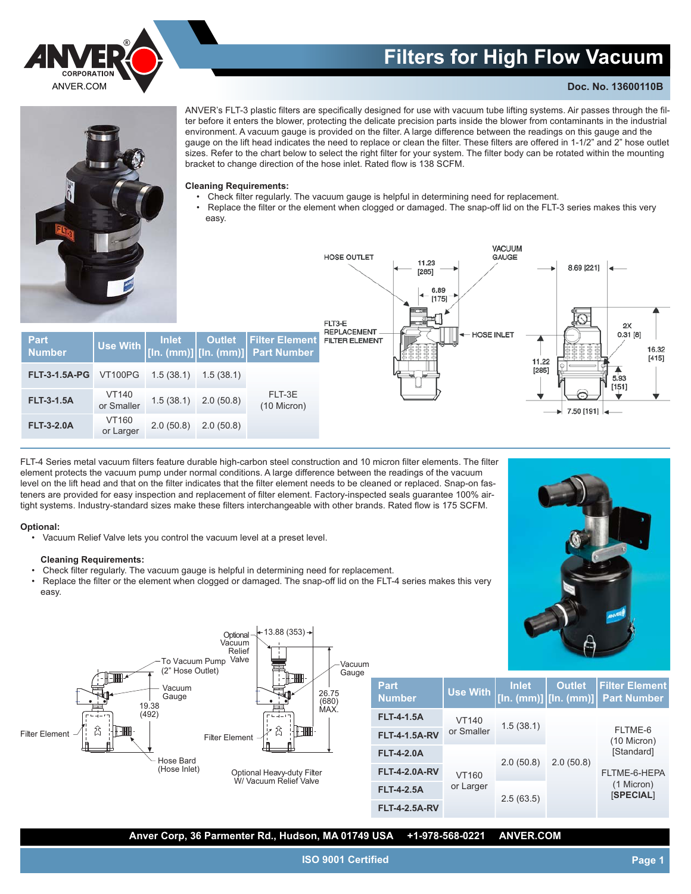

# **Filters for High Flow Vacuum**

VACUUM

GAUGE

## **Doc. No. 13600110B**



ANVER's FLT-3 plastic filters are specifically designed for use with vacuum tube lifting systems. Air passes through the filter before it enters the blower, protecting the delicate precision parts inside the blower from contaminants in the industrial environment. A vacuum gauge is provided on the filter. A large difference between the readings on this gauge and the gauge on the lift head indicates the need to replace or clean the filter. These filters are offered in 1-1/2" and 2" hose outlet sizes. Refer to the chart below to select the right filter for your system. The filter body can be rotated within the mounting bracket to change direction of the hose inlet. Rated flow is 138 SCFM.

#### **Cleaning Requirements:**

- Check filter regularly. The vacuum gauge is helpful in determining need for replacement.
- Replace the filter or the element when clogged or damaged. The snap-off lid on the FLT-3 series makes this very easy.

11.23

 $[285]$ 6.89  $[175]$ 

|                       |                           |              |                                          |                                             | FLT3-E                                      | $\cdots$                                                | 2X                                                              |
|-----------------------|---------------------------|--------------|------------------------------------------|---------------------------------------------|---------------------------------------------|---------------------------------------------------------|-----------------------------------------------------------------|
| Part<br><b>Number</b> | <b>Use With</b>           | <b>Inlet</b> | <b>Outlet</b><br>[ln. (mm)]][ln. (mm)] ˈ | <b>Filter Element</b><br><b>Part Number</b> | <b>REPLACEMENT</b><br><b>FILTER ELEMENT</b> | $\left\Vert \boldsymbol{\leftarrow} \right.$ HOSE INLET | 0.31 [8]<br>16.32<br>[415]<br>11.22                             |
| <b>FLT-3-1.5A-PG</b>  | <b>VT100PG</b>            | 1.5(38.1)    | 1.5(38.1)                                |                                             |                                             |                                                         | [285]<br>5.93<br>$[151]$                                        |
| <b>FLT-3-1.5A</b>     | VT140<br>or Smaller       | 1.5(38.1)    | 2.0(50.8)                                | FLT-3E<br>(10 Micron)                       |                                             |                                                         | $\sim$<br>$\blacktriangleright$ 7.50 [191] $\blacktriangleleft$ |
| <b>FLT-3-2.0A</b>     | <b>VT160</b><br>or Larger | 2.0(50.8)    | 2.0(50.8)                                |                                             |                                             |                                                         |                                                                 |

**HOSE OUTLET** 

FLT-4 Series metal vacuum filters feature durable high-carbon steel construction and 10 micron filter elements. The filter element protects the vacuum pump under normal conditions. A large difference between the readings of the vacuum level on the lift head and that on the filter indicates that the filter element needs to be cleaned or replaced. Snap-on fasteners are provided for easy inspection and replacement of filter element. Factory-inspected seals guarantee 100% airtight systems. Industry-standard sizes make these filters interchangeable with other brands. Rated flow is 175 SCFM.

### **Optional:**

• Vacuum Relief Valve lets you control the vacuum level at a preset level.

#### **Cleaning Requirements:**

- Check filter regularly. The vacuum gauge is helpful in determining need for replacement.
- Replace the filter or the element when clogged or damaged. The snap-off lid on the FLT-4 series makes this very easy.



8.69 [221]

**Outlet [In. (mm)]**

2.0 (50.8)



**Anver Corp, 36 Parmenter Rd., Hudson, MA 01749 USA +1-978-568-0221 ANVER.COM**

**FLT-4-2.5A-RV**

**ISO 9001 Certified**

**Filter Element Part Number**

FLTME-6 (10 Micron) [Standard] FLTME-6-HEPA (1 Micron) [**SPECIAL**]